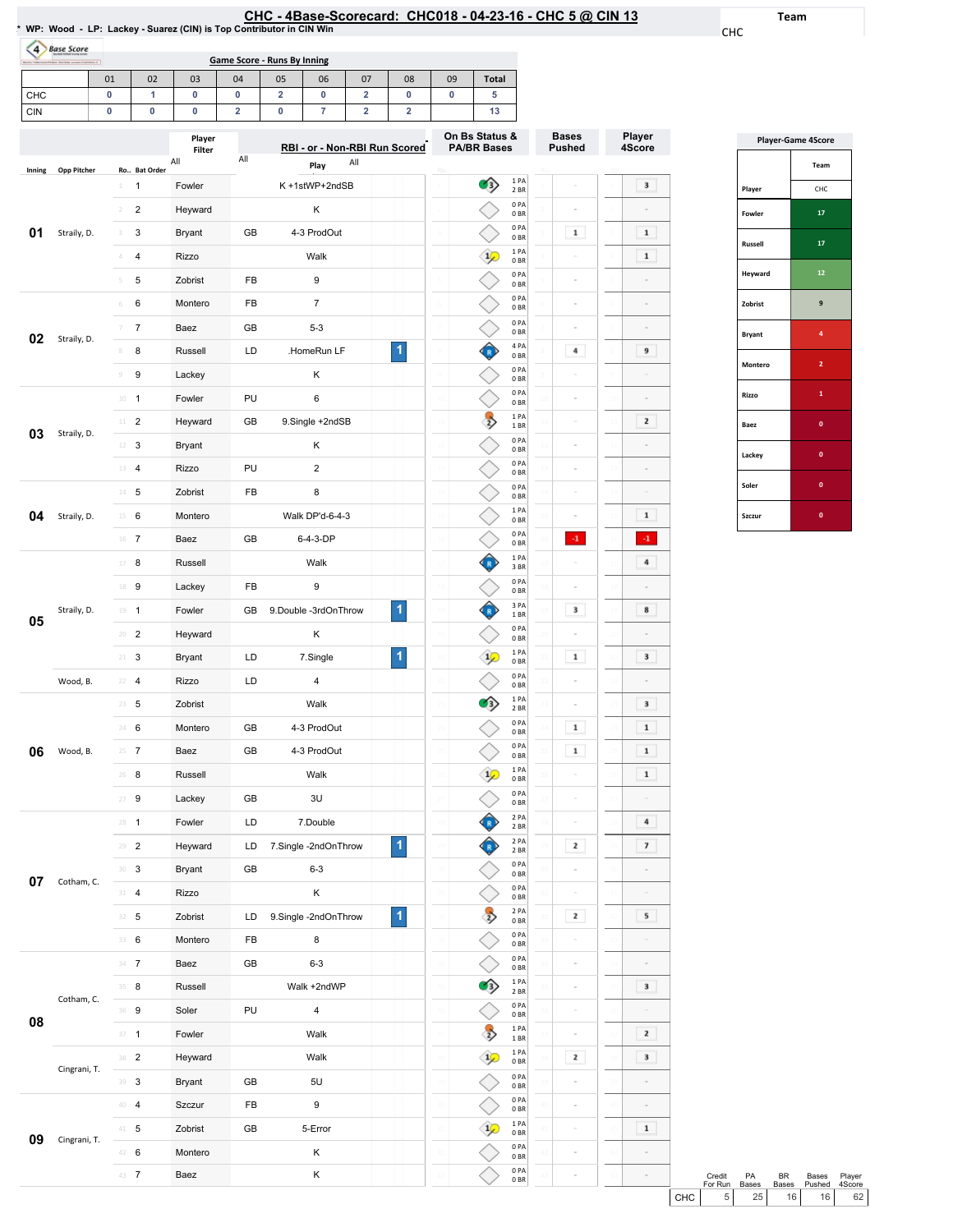| HC - 4Base-Scorecard: CHC018 - 04-23-16 - CHC 5 @ CIN 1: |  |  |  |  |
|----------------------------------------------------------|--|--|--|--|
|----------------------------------------------------------|--|--|--|--|

Team

CHC

Player 4Score

 $\overline{\phantom{a}3}$ 

 $\begin{array}{|c|c|} \hline \textbf{1} & \hline \end{array}$  $\blacksquare$  $\sim$ 

 $\sim$  $\overline{9}$  $\sim$ 

 $\overline{\mathbf{2}}$ 

 $\sim$  $\sim$  $\boxed{\phantom{1}1}$  $\langle 4 \rangle$  $\overline{4}$  $\sim$  $\begin{array}{|c|} \hline \mathbf{8} \end{array}$ 

 $\overline{\mathbf{3}}$ 

 $\overline{\phantom{a}}$  $\boxed{\phantom{1}1}$  $\blacksquare$  $\boxed{\phantom{1}1}$ 

 $\blacksquare$  $\overline{\mathbf{z}}$  $\sim$ 

 $5<sub>1</sub>$  $\sim$  $\sim$  $\boxed{3}$  $\sim$  $\overline{\mathbf{2}}$  $\overline{\phantom{a}}$  $\sim$ 

|            | 4 Base Score       |                |                         | WP: Wood - LP: Lackey - Suarez (CIN) is Top Contributor in CIN Win |                         |                                    |                                       |                               |                         |                 |                    |                          |               |                         |
|------------|--------------------|----------------|-------------------------|--------------------------------------------------------------------|-------------------------|------------------------------------|---------------------------------------|-------------------------------|-------------------------|-----------------|--------------------|--------------------------|---------------|-------------------------|
|            | $-1$               |                |                         |                                                                    |                         | <b>Game Score - Runs By Inning</b> |                                       |                               |                         |                 |                    |                          |               |                         |
| CHC        |                    | 01<br>0        | 02<br>1                 | 03<br>0                                                            | 04<br>0                 | 05<br>$\overline{\mathbf{2}}$      | 06<br>0                               | 07<br>$\overline{\mathbf{2}}$ | 08<br>0                 | 09<br>0         | <b>Total</b><br>5  |                          |               |                         |
| <b>CIN</b> |                    | 0              | 0                       | 0                                                                  | $\overline{\mathbf{2}}$ | $\pmb{0}$                          | 7                                     | $\overline{\mathbf{2}}$       | $\overline{\mathbf{2}}$ |                 | 13                 |                          |               |                         |
|            |                    |                |                         | Player                                                             |                         |                                    |                                       |                               |                         |                 | On Bs Status &     |                          | <b>Bases</b>  | Player                  |
|            |                    |                |                         | Filter<br>All                                                      | All                     |                                    | RBI - or - Non-RBI Run Scored<br>Play | All                           |                         |                 | <b>PA/BR Bases</b> |                          | <b>Pushed</b> | 4Score                  |
| Inning     | <b>Opp Pitcher</b> | $\mathbf{1}$   | Ro Bat Order<br>1       | Fowler                                                             |                         |                                    | K+1stWP+2ndSB                         |                               |                         |                 | 3)                 | 1PA<br>2 BR              |               | 3                       |
|            |                    | $\overline{2}$ | $\overline{\mathbf{c}}$ | Heyward                                                            |                         |                                    | κ                                     |                               |                         |                 |                    | 0PA<br>0 <sub>BR</sub>   |               |                         |
| 01         | Straily, D.        | 3              | 3                       | <b>Bryant</b>                                                      | GB                      |                                    | 4-3 ProdOut                           |                               |                         |                 |                    | 0PA<br>0BR               | $\mathbf 1$   | $\mathbf 1$             |
|            |                    | 4              | $\overline{\mathbf{4}}$ | <b>Rizzo</b>                                                       |                         |                                    | Walk                                  |                               |                         |                 | $\frac{1}{2}$      | 1PA<br>0BR               |               | $\mathbf 1$             |
|            |                    | 5              | 5                       | Zobrist                                                            | FB                      |                                    | 9                                     |                               |                         |                 |                    | 0PA<br>0 BR              |               | $\sim$                  |
|            |                    | 6              | 6                       | Montero                                                            | FB                      |                                    | $\overline{7}$                        |                               |                         |                 |                    | 0PA<br>0BR               |               |                         |
|            |                    |                | 7                       | Baez                                                               | GB                      |                                    | $5 - 3$                               |                               |                         |                 |                    | 0PA<br>0 <sub>BR</sub>   |               |                         |
| 02         | Straily, D.        | 8              | 8                       | Russell                                                            | LD                      |                                    | .HomeRun LF                           |                               | 1                       | $\,$ 8 $\,$     |                    | 4 PA<br>0BR              | 4             | 9                       |
|            |                    | 9              | 9                       | Lackey                                                             |                         |                                    | Κ                                     |                               |                         |                 |                    | 0PA<br>0BR               |               |                         |
|            |                    |                | $10 - 1$                | Fowler                                                             | PU                      |                                    | 6                                     |                               |                         | 10              |                    | 0PA<br>0 BR              |               |                         |
|            |                    | $11 -$         | $\overline{2}$          | Heyward                                                            | GB                      |                                    | 9.Single +2ndSB                       |                               |                         | $\frac{1}{2}$   | $\overline{2}$     | 1 PA<br>1 BR             | ÷             | 2                       |
| 03         | Straily, D.        |                | $12 \t3$                | Bryant                                                             |                         |                                    | Κ                                     |                               |                         | 12              |                    | 0PA<br>0 <sub>BR</sub>   | ×             |                         |
|            |                    | 13             | $\overline{4}$          | Rizzo                                                              | PU                      |                                    | $\sqrt{2}$                            |                               |                         | $_{13}$         |                    | 0PA<br>0 <sub>BR</sub>   |               |                         |
|            |                    |                | $14$ 5                  | Zobrist                                                            | FB                      |                                    | 8                                     |                               |                         | 14              |                    | 0PA<br>0 <sub>BR</sub>   | ÷             |                         |
| 04         | Straily, D.        |                | $15 \t 6$               | Montero                                                            |                         |                                    | Walk DP'd-6-4-3                       |                               |                         | 15              |                    | 1 PA<br>0 BR             |               | $\mathbf 1$             |
|            |                    |                | $16$ 7                  | Baez                                                               | GB                      |                                    | 6-4-3-DP                              |                               |                         | $16\,$          |                    | 0PA<br>0 BR              | $\cdot 1$     | $\cdot 1$               |
|            |                    | 17             | 8                       | Russell                                                            |                         |                                    | Walk                                  |                               |                         | $17\,$          |                    | 1PA<br>3 BR              |               | 4                       |
|            |                    | 18             | 9                       | Lackey                                                             | FB                      |                                    | 9                                     |                               |                         | 18              |                    | 0PA                      |               |                         |
|            | Straily, D.        |                | $19 - 1$                | Fowler                                                             | GВ                      |                                    | 9.Double -3rdOnThrow                  |                               | 1                       | 19              |                    | 0 <sub>BR</sub><br>3 PA  | 3             | 8<br>19                 |
| 05         |                    | 20             | $\overline{2}$          | Heyward                                                            |                         |                                    | Κ                                     |                               |                         | 20              |                    | 1 BR<br>0PA<br>0 BR      |               |                         |
|            |                    | $21 -$         | 3                       | Bryant                                                             | LD                      |                                    | 7.Single                              |                               | 1                       | 21              |                    | 1PA<br>0 BR              | $\mathbf 1$   | 3                       |
|            | Wood, B.           |                | $22 - 4$                | Rizzo                                                              | LD                      |                                    | 4                                     |                               |                         |                 |                    | 0PA                      |               |                         |
|            |                    |                | $23 - 5$                | Zobrist                                                            |                         |                                    | Walk                                  |                               |                         | 23              |                    | 0B<br>1 PA<br>2 BR       |               | 3                       |
|            |                    |                | 24 6                    | Montero                                                            | GB                      |                                    | 4-3 ProdOut                           |                               |                         | $\overline{24}$ |                    | 0PA                      | $\mathbf 1$   | $\mathbf 1$             |
| 06         | Wood, B.           |                | $25 \t 7$               | Baez                                                               | GB                      |                                    | 4-3 ProdOut                           |                               |                         | 25              |                    | 0B<br>0PA                | $\mathbf{1}$  | $\mathbf 1$             |
|            |                    | 26             | 8                       | Russell                                                            |                         |                                    | Walk                                  |                               |                         | 26              |                    | 0B<br>1PA                | $\equiv$      | $\mathbf 1$             |
|            |                    |                | $27 - 9$                | Lackey                                                             | GB                      |                                    | 3U                                    |                               |                         | 27              |                    | 0B<br>0PA                | $\equiv$      | $\overline{a}$          |
|            |                    |                | $28 - 1$                | Fowler                                                             | LD                      |                                    | 7.Double                              |                               |                         | 28              |                    | 0B<br>2 PA               | $\equiv$      | 4                       |
|            |                    |                | $29 - 2$                | Heyward                                                            | LD                      |                                    | 7.Single -2ndOnThrow                  |                               | $\mathbf{1}$            | 29              |                    | 2 BR<br>2 PA             | $\mathbf{z}$  | $\overline{\mathbf{z}}$ |
|            |                    |                | 30 <sup>3</sup>         | Bryant                                                             | GB                      |                                    | $6 - 3$                               |                               |                         | $\overline{30}$ |                    | 2 BR<br>0PA              | ÷             |                         |
| 07         | Cotham, C.         |                | $31 - 4$                | Rizzo                                                              |                         |                                    | Κ                                     |                               |                         | $\overline{31}$ |                    | 0BR<br>0PA               | $\sim$        |                         |
|            |                    |                | 32 5                    | Zobrist                                                            | LD                      |                                    | 9.Single -2ndOnThrow                  |                               | $\blacktriangleleft$    | $\overline{32}$ |                    | 0B<br>2 PA               | $\mathbf{z}$  | 5                       |
|            |                    |                | 33 6                    | Montero                                                            | FB                      |                                    | 8                                     |                               |                         | 33              | $\overline{2}$     | 0B<br>0PA                | ÷             |                         |
|            |                    |                | $34$ 7                  | Baez                                                               | GB                      |                                    | $6 - 3$                               |                               |                         | $\overline{34}$ |                    | 0BR<br>0PA               | ÷             |                         |
|            |                    |                | $35 - 8$                | Russell                                                            |                         |                                    | Walk +2ndWP                           |                               |                         | 35              |                    | 0B<br>1PA                | $\equiv$      | 3                       |
|            | Cotham, C.         |                | 36 9                    | Soler                                                              | PU                      |                                    | $\overline{4}$                        |                               |                         | 36              |                    | 2 BR<br>0PA              | ÷             | $\sim$                  |
| 08         |                    |                | $37 - 1$                | Fowler                                                             |                         |                                    | Walk                                  |                               |                         | 37              | $\overline{2}$     | $0\;\mathrm{BR}$<br>1 PA | ÷             | $\mathbf{z}$            |
|            |                    |                | $38$ 2                  | Heyward                                                            |                         |                                    | Walk                                  |                               |                         | 38              |                    | 1 BR<br>1 PA             | $\mathbf{z}$  | $\mathbf{3}$            |
|            | Cingrani, T.       |                |                         |                                                                    | GB                      |                                    |                                       |                               |                         |                 |                    | $0\;\mathrm{BR}$<br>0 PA |               |                         |
|            |                    |                | 39 3                    | Bryant                                                             |                         |                                    | 5U                                    |                               |                         |                 |                    | 0 BR                     |               |                         |

**09** Cingrani, T.  $\frac{41}{42}$  6

40 4 Szczur FB 9

42 6 Montero K<br>43 7 Baez K

Zobrist GB 5-Error

0PA 0BR 1PA 0BR 0PA 0BR 0PA 0BR

 $\Diamond$ 

 $\Diamond$ ◇

 $\sim$ 

 $\sim$ 

 $\begin{array}{|c|c|} \hline \textbf{1} & \\\hline \end{array}$ 

Baez K

|               | <b>Player-Game 4Score</b> |  |  |  |  |  |  |  |  |
|---------------|---------------------------|--|--|--|--|--|--|--|--|
|               | Team                      |  |  |  |  |  |  |  |  |
| Player        | CHC                       |  |  |  |  |  |  |  |  |
| Fowler        | 17                        |  |  |  |  |  |  |  |  |
| Russell       | 17                        |  |  |  |  |  |  |  |  |
| Heyward       | 12                        |  |  |  |  |  |  |  |  |
| Zobrist       | 9                         |  |  |  |  |  |  |  |  |
| <b>Bryant</b> | 4                         |  |  |  |  |  |  |  |  |
| Montero       | $\overline{\mathbf{c}}$   |  |  |  |  |  |  |  |  |
| Rizzo         | 1                         |  |  |  |  |  |  |  |  |
| Baez          | $\mathbf{0}$              |  |  |  |  |  |  |  |  |
| Lackey        | O                         |  |  |  |  |  |  |  |  |
| Soler         | 0                         |  |  |  |  |  |  |  |  |
| Szczur        | $\mathbf{0}$              |  |  |  |  |  |  |  |  |

|     | Credit         | <b>PA</b>       | RR.             | Bases  | Plaver          |
|-----|----------------|-----------------|-----------------|--------|-----------------|
|     | For Run        | <b>Bases</b>    | <b>Bases</b>    | Pushed | 4Score          |
| CHC | 5 <sub>1</sub> | 25 <sub>1</sub> | 16 <sup>1</sup> | 16     | 62 <sub>1</sub> |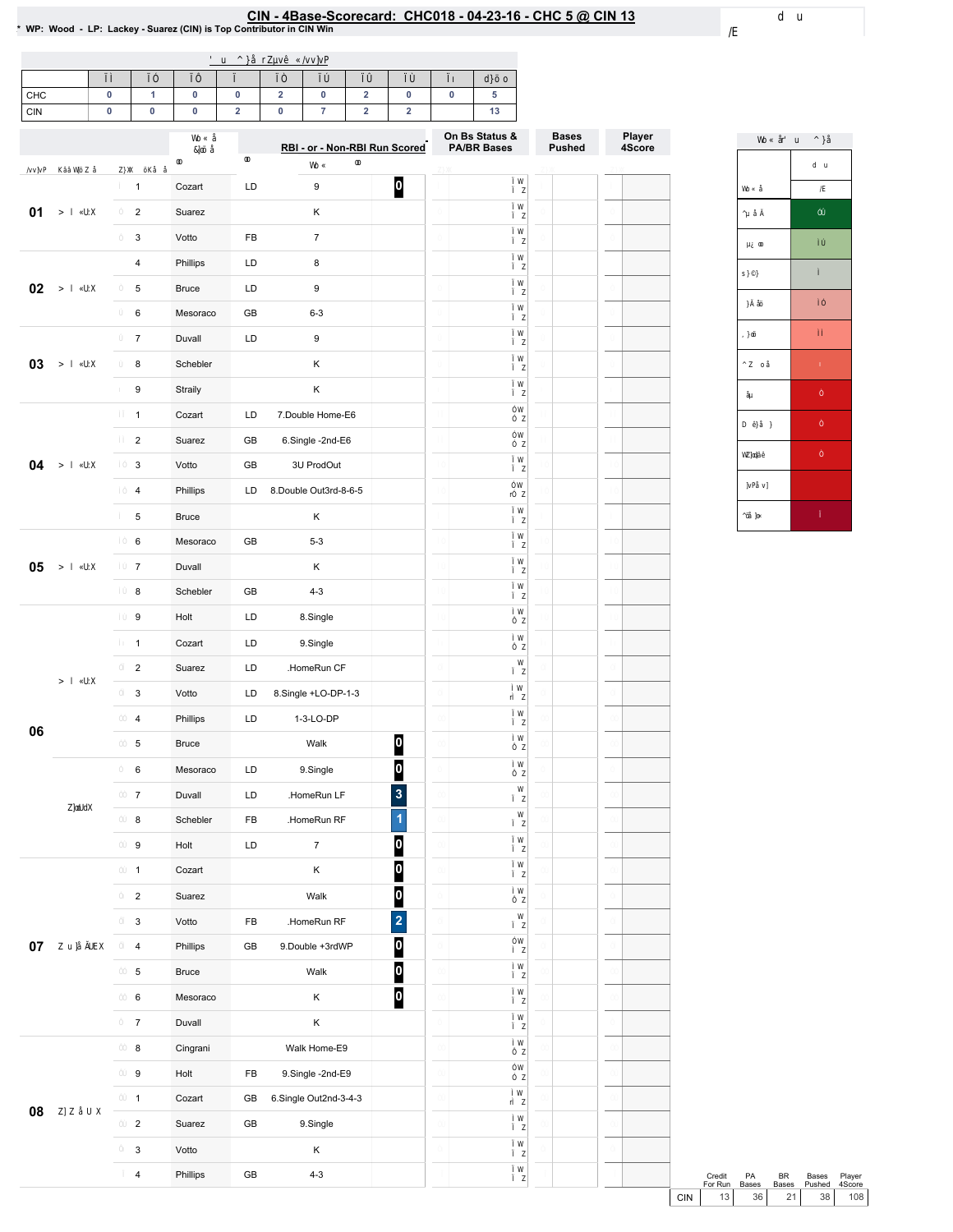# EIN - 4Base-Scorecard: CHC018 - 04-23-16 - CHC 5 @ CIN 13<br>\* WP: Wood - LP: Lackey - Suarez (CIN) is Top Contributor in CIN Win

| CHC        |  |  |  |  |  |
|------------|--|--|--|--|--|
| <b>CIN</b> |  |  |  |  |  |

|    |                         |              |            | RBI - or - Non-RBI Run Scored |                         | On Bs Status &<br><b>PA/BR Bases</b> | <b>Bases</b><br><b>Pushed</b> | Player<br>4Score |
|----|-------------------------|--------------|------------|-------------------------------|-------------------------|--------------------------------------|-------------------------------|------------------|
|    | $\mathbf{1}$            | Cozart       | LD         | 9                             | $\boldsymbol{0}$        |                                      |                               |                  |
| 01 | $\overline{c}$          | Suarez       |            | Κ                             |                         |                                      |                               |                  |
|    | 3                       | Votto        | FB         | $\boldsymbol{7}$              |                         |                                      |                               |                  |
|    | 4                       | Phillips     | LD         | 8                             |                         |                                      |                               |                  |
| 02 | 5                       | <b>Bruce</b> | LD         | $\boldsymbol{9}$              |                         |                                      |                               |                  |
|    | 6                       | Mesoraco     | GB         | $6 - 3$                       |                         |                                      |                               |                  |
|    | $\overline{7}$          | Duvall       | LD         | 9                             |                         |                                      |                               |                  |
| 03 | 8                       | Schebler     |            | Κ                             |                         |                                      |                               |                  |
|    | 9                       | Straily      |            | Κ                             |                         |                                      |                               |                  |
|    | $\mathbf{1}$            | Cozart       | LD         | 7.Double Home-E6              |                         |                                      |                               |                  |
|    | $\overline{\mathbf{c}}$ | Suarez       | GB         | 6.Single -2nd-E6              |                         |                                      |                               |                  |
| 04 | 3                       | Votto        | GB         | 3U ProdOut                    |                         |                                      |                               |                  |
|    | $\overline{\mathbf{4}}$ | Phillips     | LD         | 8.Double Out3rd-8-6-5         |                         |                                      |                               |                  |
|    | 5                       | <b>Bruce</b> |            | Κ                             |                         |                                      |                               |                  |
|    | 6                       | Mesoraco     | GB         | $5 - 3$                       |                         |                                      |                               |                  |
| 05 | $\boldsymbol{7}$        | Duvall       |            | Κ                             |                         |                                      |                               |                  |
|    | 8                       | Schebler     | GB         | $4 - 3$                       |                         |                                      |                               |                  |
|    | $\boldsymbol{9}$        | Holt         | LD         | 8.Single                      |                         |                                      |                               |                  |
|    | $\mathbf{1}$            | Cozart       | LD         | 9.Single                      |                         |                                      |                               |                  |
|    | $\overline{c}$          | Suarez       | LD         | .HomeRun CF                   |                         |                                      |                               |                  |
|    | 3                       | Votto        | LD         | 8.Single +LO-DP-1-3           |                         |                                      |                               |                  |
|    | 4                       | Phillips     | LD         | 1-3-LO-DP                     |                         |                                      |                               |                  |
| 06 | 5                       | <b>Bruce</b> |            | Walk                          | $\bf{0}$                |                                      |                               |                  |
|    | 6                       | Mesoraco     | LD         | 9.Single                      | $\overline{\mathbf{0}}$ |                                      |                               |                  |
|    | 7                       | Duvall       | LD         | .HomeRun LF                   | 3                       |                                      |                               |                  |
|    | 8                       | Schebler     | FB         | .HomeRun RF                   | $\overline{1}$          |                                      |                               |                  |
|    | 9                       | Holt         | LD         | $\overline{7}$                | $\bf{0}$                |                                      |                               |                  |
|    | $\mathbf{1}$            | Cozart       |            | Κ                             | $\overline{\mathbf{0}}$ |                                      |                               |                  |
|    | $\overline{a}$          | Suarez       |            | Walk                          | $\boldsymbol{0}$        |                                      |                               |                  |
|    | $\mathbf{3}$            | Votto        | FB         | .HomeRun RF                   | $\overline{\mathbf{c}}$ |                                      |                               |                  |
| 07 | $\overline{4}$          | Phillips     | GB         | 9.Double +3rdWP               | $\overline{\mathbf{0}}$ |                                      |                               |                  |
|    | 5                       | <b>Bruce</b> |            | Walk                          | $\boldsymbol{0}$        |                                      |                               |                  |
|    | 6                       | Mesoraco     |            | Κ                             | $\boldsymbol{0}$        |                                      |                               |                  |
|    | $\overline{7}$          | Duvall       |            | Κ                             |                         |                                      |                               |                  |
|    | 8                       | Cingrani     |            | Walk Home-E9                  |                         |                                      |                               |                  |
|    | $\boldsymbol{9}$        | Holt         | FB         | 9.Single -2nd-E9              |                         |                                      |                               |                  |
| 08 | $\mathbf{1}$            | Cozart       | GB         | 6.Single Out2nd-3-4-3         |                         |                                      |                               |                  |
|    | $\overline{2}$          | Suarez       | GB         | 9.Single                      |                         |                                      |                               |                  |
|    | $\mathbf{3}$            | Votto        |            | Κ                             |                         |                                      |                               |                  |
|    | $\overline{4}$          | Phillips     | ${\sf GB}$ | $4 - 3$                       |                         |                                      |                               |                  |



|     | Credit<br>For Run | PA<br><b>Bases</b> | RR. | Bases<br>Bases Pushed 4Score | Player |
|-----|-------------------|--------------------|-----|------------------------------|--------|
| CIN | 13                | 36 <sup>1</sup>    | 21  |                              | 38 108 |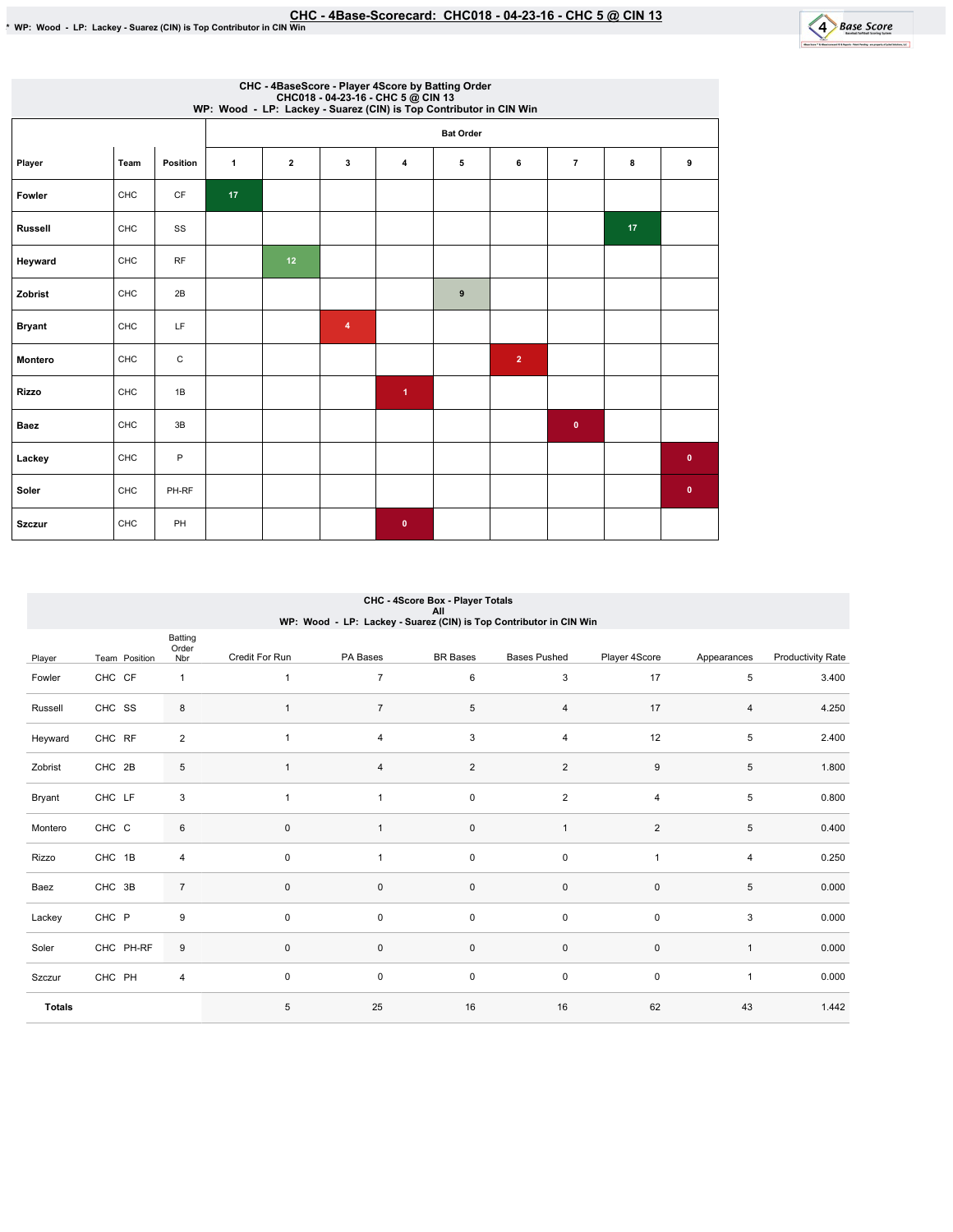

|                | CHC - 4BaseScore - Player 4Score by Batting Order<br>CHC018 - 04-23-16 - CHC 5 @ CIN 13<br>WP: Wood - LP: Lackey - Suarez (CIN) is Top Contributor in CIN Win |           |                 |              |   |                      |                  |                |                |    |           |  |  |  |
|----------------|---------------------------------------------------------------------------------------------------------------------------------------------------------------|-----------|-----------------|--------------|---|----------------------|------------------|----------------|----------------|----|-----------|--|--|--|
|                |                                                                                                                                                               |           |                 |              |   |                      | <b>Bat Order</b> |                |                |    |           |  |  |  |
| Player         | Team                                                                                                                                                          | Position  | 1               | $\mathbf{2}$ | 3 | $\overline{4}$       | 5                | 6              | $\overline{7}$ | 8  | 9         |  |  |  |
| Fowler         | CHC                                                                                                                                                           | CF        | 17 <sub>2</sub> |              |   |                      |                  |                |                |    |           |  |  |  |
| <b>Russell</b> | CHC                                                                                                                                                           | SS        |                 |              |   |                      |                  |                |                | 17 |           |  |  |  |
| Heyward        | CHC                                                                                                                                                           | <b>RF</b> |                 | 12           |   |                      |                  |                |                |    |           |  |  |  |
| Zobrist        | CHC                                                                                                                                                           | 2B        |                 |              |   |                      | $\boldsymbol{9}$ |                |                |    |           |  |  |  |
| <b>Bryant</b>  | CHC                                                                                                                                                           | LF.       |                 |              | 4 |                      |                  |                |                |    |           |  |  |  |
| Montero        | CHC                                                                                                                                                           | С         |                 |              |   |                      |                  | $\overline{2}$ |                |    |           |  |  |  |
| <b>Rizzo</b>   | CHC                                                                                                                                                           | 1B        |                 |              |   | $\blacktriangleleft$ |                  |                |                |    |           |  |  |  |
| <b>Baez</b>    | CHC                                                                                                                                                           | 3B        |                 |              |   |                      |                  |                | $\bullet$      |    |           |  |  |  |
| Lackey         | CHC                                                                                                                                                           | P         |                 |              |   |                      |                  |                |                |    | $\bullet$ |  |  |  |
| Soler          | CHC                                                                                                                                                           | PH-RF     |                 |              |   |                      |                  |                |                |    | $\bullet$ |  |  |  |
| <b>Szczur</b>  | CHC                                                                                                                                                           | PH        |                 |              |   | $\bullet$            |                  |                |                |    |           |  |  |  |

## CHC - 4Score Box - Player Totals All<br>WP: Wood - LP: Lackey - Suarez (CIN) is Top Contributor in CIN Win

|               |               | Batting<br>Order        |                |                |                     |                     |                  |                |                          |
|---------------|---------------|-------------------------|----------------|----------------|---------------------|---------------------|------------------|----------------|--------------------------|
| Player        | Team Position | Nbr                     | Credit For Run | PA Bases       | <b>BR</b> Bases     | <b>Bases Pushed</b> | Player 4Score    | Appearances    | <b>Productivity Rate</b> |
| Fowler        | CHC CF        | $\mathbf{1}$            | 1              | $\overline{7}$ | 6                   | $\mathbf{3}$        | 17               | 5              | 3.400                    |
| Russell       | CHC SS        | 8                       | $\mathbf{1}$   | $\overline{7}$ | 5                   | $\overline{4}$      | 17               | $\overline{4}$ | 4.250                    |
| Heyward       | CHC RF        | $\overline{2}$          | $\mathbf{1}$   | $\overline{4}$ | 3                   | $\overline{4}$      | 12               | 5              | 2.400                    |
| Zobrist       | CHC 2B        | 5                       | $\mathbf{1}$   | 4              | $\overline{2}$      | $\overline{2}$      | $\boldsymbol{9}$ | 5              | 1.800                    |
| Bryant        | CHC LF        | $\mathsf 3$             | $\mathbf{1}$   | $\overline{1}$ | $\mathbf 0$         | $\overline{2}$      | 4                | 5              | 0.800                    |
| Montero       | CHC C         | 6                       | $\pmb{0}$      |                | $\mathsf{O}\xspace$ | $\mathbf{1}$        | $\overline{2}$   | 5              | 0.400                    |
| Rizzo         | CHC 1B        | $\overline{4}$          | $\pmb{0}$      |                | $\mathsf{O}\xspace$ | $\mathsf{O}\xspace$ | 1                | 4              | 0.250                    |
| Baez          | CHC 3B        | $\overline{7}$          | $\pmb{0}$      | $\mathbf 0$    | $\mathsf{O}\xspace$ | $\mathsf{O}\xspace$ | $\pmb{0}$        | 5              | 0.000                    |
| Lackey        | CHC P         | 9                       | $\mathbf 0$    | $\mathbf 0$    | $\mathsf{O}\xspace$ | $\mathsf{O}\xspace$ | $\mathbf 0$      | 3              | 0.000                    |
| Soler         | CHC PH-RF     | 9                       | $\mathbf 0$    | $\mathbf 0$    | $\mathsf{O}\xspace$ | $\mathsf{O}\xspace$ | $\pmb{0}$        | $\mathbf{1}$   | 0.000                    |
| Szczur        | CHC PH        | $\overline{\mathbf{4}}$ | 0              | 0              | $\mathbf 0$         | $\mathsf{O}\xspace$ | $\mathbf 0$      | $\mathbf{1}$   | 0.000                    |
| <b>Totals</b> |               |                         | 5              | 25             | 16                  | 16                  | 62               | 43             | 1.442                    |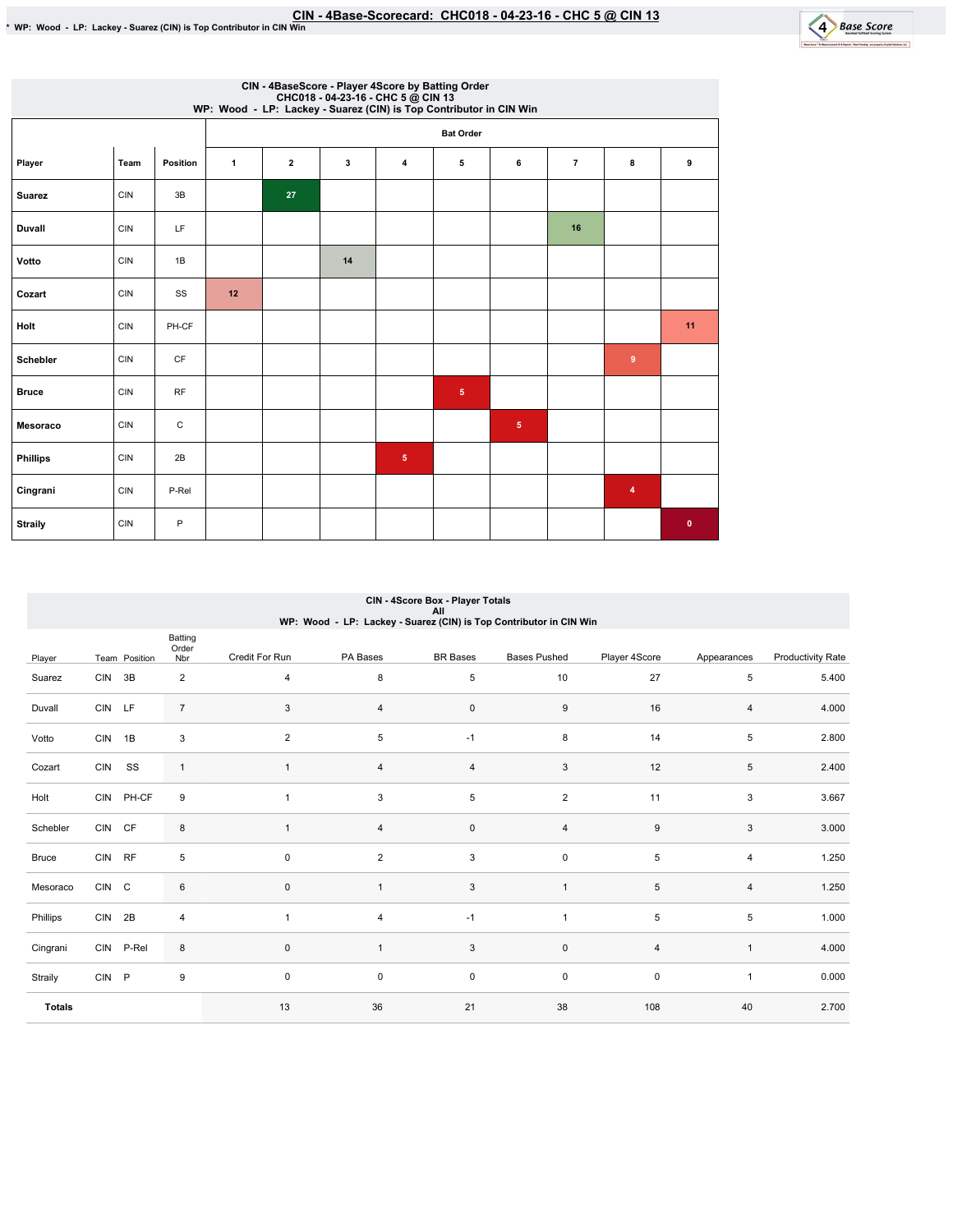

|                 | CIN - 4BaseScore - Player 4Score by Batting Order<br>CHC018 - 04-23-16 - CHC 5 @ CIN 13<br>WP: Wood - LP: Lackey - Suarez (CIN) is Top Contributor in CIN Win |                        |              |                |    |                |                  |            |                |                |           |  |  |
|-----------------|---------------------------------------------------------------------------------------------------------------------------------------------------------------|------------------------|--------------|----------------|----|----------------|------------------|------------|----------------|----------------|-----------|--|--|
|                 |                                                                                                                                                               |                        |              |                |    |                | <b>Bat Order</b> |            |                |                |           |  |  |
| Player          | Team                                                                                                                                                          | Position               | $\mathbf{1}$ | $\overline{2}$ | 3  | $\overline{4}$ | 5                | 6          | $\overline{7}$ | 8              | 9         |  |  |
| <b>Suarez</b>   | <b>CIN</b>                                                                                                                                                    | 3B                     |              | 27             |    |                |                  |            |                |                |           |  |  |
| <b>Duvall</b>   | <b>CIN</b>                                                                                                                                                    | LF                     |              |                |    |                |                  |            | 16             |                |           |  |  |
| Votto           | <b>CIN</b>                                                                                                                                                    | 1B                     |              |                | 14 |                |                  |            |                |                |           |  |  |
| Cozart          | <b>CIN</b>                                                                                                                                                    | SS                     | 12           |                |    |                |                  |            |                |                |           |  |  |
| Holt            | <b>CIN</b>                                                                                                                                                    | PH-CF                  |              |                |    |                |                  |            |                |                | 11        |  |  |
| <b>Schebler</b> | <b>CIN</b>                                                                                                                                                    | $\mathsf{C}\mathsf{F}$ |              |                |    |                |                  |            |                | $\overline{9}$ |           |  |  |
| <b>Bruce</b>    | <b>CIN</b>                                                                                                                                                    | <b>RF</b>              |              |                |    |                | $\overline{5}$   |            |                |                |           |  |  |
| Mesoraco        | <b>CIN</b>                                                                                                                                                    | $\mathsf C$            |              |                |    |                |                  | $\sqrt{5}$ |                |                |           |  |  |
| <b>Phillips</b> | <b>CIN</b>                                                                                                                                                    | 2B                     |              |                |    | $\sqrt{5}$     |                  |            |                |                |           |  |  |
| Cingrani        | <b>CIN</b>                                                                                                                                                    | P-Rel                  |              |                |    |                |                  |            |                | $\overline{4}$ |           |  |  |
| <b>Straily</b>  | <b>CIN</b>                                                                                                                                                    | P                      |              |                |    |                |                  |            |                |                | $\bullet$ |  |  |

| CIN - 4Score Box - Player Totals                                   |
|--------------------------------------------------------------------|
| All                                                                |
| WP: Wood - LP: Lackey - Suarez (CIN) is Top Contributor in CIN Win |

|               |            |               | Batting<br>Order          |                |                |                 |                     |                  |                |                          |
|---------------|------------|---------------|---------------------------|----------------|----------------|-----------------|---------------------|------------------|----------------|--------------------------|
| Player        |            | Team Position | Nbr                       | Credit For Run | PA Bases       | <b>BR</b> Bases | <b>Bases Pushed</b> | Player 4Score    | Appearances    | <b>Productivity Rate</b> |
| Suarez        | <b>CIN</b> | 3B            | $\overline{2}$            | $\overline{4}$ | 8              | $\,$ 5 $\,$     | 10                  | 27               | 5              | 5.400                    |
| Duvall        | CIN LF     |               | $\overline{7}$            | 3              | $\overline{4}$ | $\mathsf 0$     | 9                   | 16               | 4              | 4.000                    |
| Votto         | <b>CIN</b> | 1B            | $\ensuremath{\mathsf{3}}$ | $\overline{2}$ | 5              | $-1$            | $\bf8$              | 14               | 5              | 2.800                    |
| Cozart        | <b>CIN</b> | SS            | $\mathbf{1}$              | $\mathbf{1}$   | $\overline{4}$ | $\overline{4}$  | 3                   | 12               | 5              | 2.400                    |
| Holt          |            | CIN PH-CF     | 9                         | $\overline{1}$ | 3              | $\,$ 5 $\,$     | $\overline{2}$      | 11               | 3              | 3.667                    |
| Schebler      | <b>CIN</b> | CF            | 8                         | $\mathbf{1}$   | $\overline{4}$ | $\mathsf 0$     | $\overline{4}$      | $\boldsymbol{9}$ | 3              | 3.000                    |
| Bruce         | CIN RF     |               | $\,$ 5 $\,$               | $\mathbf 0$    | $\overline{2}$ | $\mathsf 3$     | $\mathsf 0$         | $\,$ 5 $\,$      | 4              | 1.250                    |
| Mesoraco      | CIN C      |               | 6                         | $\mathbf{0}$   |                | $\mathbf{3}$    | $\overline{1}$      | 5                | $\overline{4}$ | 1.250                    |
| Phillips      | CIN 2B     |               | $\overline{4}$            | $\overline{1}$ | 4              | $-1$            | 1                   | 5                | 5              | 1.000                    |
| Cingrani      |            | CIN P-Rel     | 8                         | $\mathbf{0}$   |                | $\mathbf{3}$    | $\mathsf 0$         | $\overline{4}$   | $\mathbf{1}$   | 4.000                    |
| Straily       | <b>CIN</b> | $\mathsf{P}$  | $\boldsymbol{9}$          | $\mathbf 0$    | 0              | $\mathsf 0$     | $\mathsf 0$         | $\pmb{0}$        | $\mathbf{1}$   | 0.000                    |
| <b>Totals</b> |            |               |                           | 13             | 36             | 21              | 38                  | 108              | 40             | 2.700                    |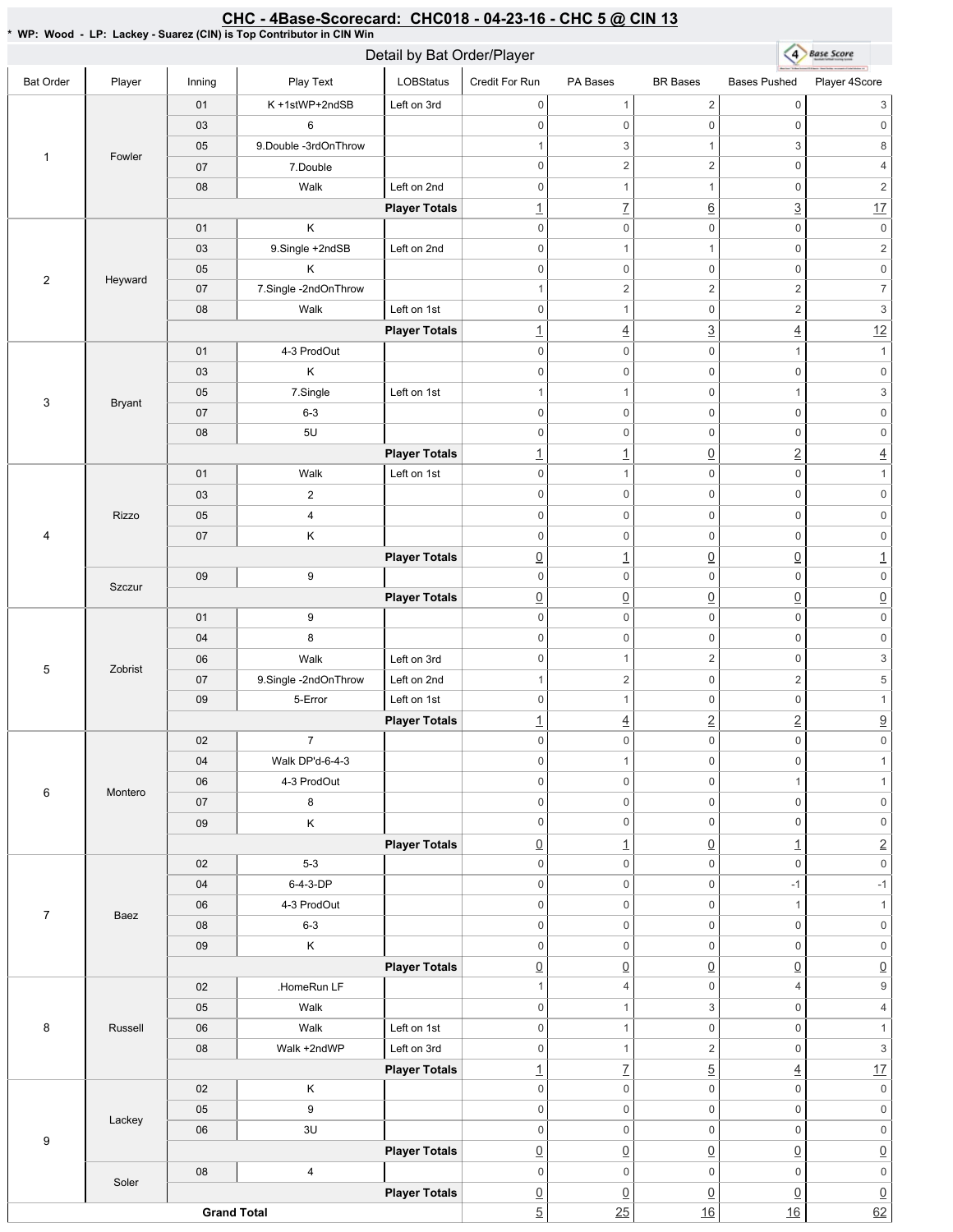#### <u>CHC - 4Base-Scorecard: CHC018 - 04-23-16 - CHC 5 @ CIN 13</u>

\* WP: Wood - LP: Lackey - Suarez (CIN) is Top Contributor in CIN Win

|                    |               | Detail by Bat Order/Player |                       |                      |                          |                     |                     |                     | 4 Base Score              |  |
|--------------------|---------------|----------------------------|-----------------------|----------------------|--------------------------|---------------------|---------------------|---------------------|---------------------------|--|
| <b>Bat Order</b>   | Player        | Inning                     | Play Text             | LOBStatus            | Credit For Run           | PA Bases            | <b>BR</b> Bases     | <b>Bases Pushed</b> | Player 4Score             |  |
| 1                  | Fowler        | 01                         | K+1stWP+2ndSB         | Left on 3rd          | $\mathbf 0$              | $\mathbf{1}$        | $\sqrt{2}$          | $\mathbb O$         | 3                         |  |
|                    |               | 03                         | 6                     |                      | $\mathbf 0$              | $\mathsf 0$         | $\mathsf{O}\xspace$ | $\mathbb O$         | $\mathsf{O}\xspace$       |  |
|                    |               | 05                         | 9. Double -3rdOnThrow |                      | $\mathbf{1}$             | 3                   | $\mathbf{1}$        | 3                   | 8                         |  |
|                    |               | 07                         | 7.Double              |                      | $\mathbf 0$              | $\overline{2}$      | $\overline{2}$      | $\mathsf 0$         | $\overline{4}$            |  |
|                    |               | 08                         | Walk                  | Left on 2nd          | $\boldsymbol{0}$         | $\mathbf{1}$        | $\mathbf{1}$        | $\mathsf 0$         | $\overline{c}$            |  |
|                    |               |                            |                       | <b>Player Totals</b> | $\overline{1}$           | $\underline{7}$     | $\underline{6}$     | $\overline{3}$      | 17                        |  |
| $\overline{2}$     | Heyward       | 01                         | Κ                     |                      | $\mathbf 0$              | $\mathsf 0$         | $\mathsf 0$         | $\mathbf 0$         | $\mathsf{O}\xspace$       |  |
|                    |               | 03                         | 9.Single +2ndSB       | Left on 2nd          | $\mathbf 0$              | $\mathbf{1}$        | $\mathbf{1}$        | $\mathbb O$         | $\overline{c}$            |  |
|                    |               | 05                         | Κ                     |                      | $\boldsymbol{0}$         | 0                   | $\mathsf 0$         | $\mathsf 0$         | $\mathsf{O}\xspace$       |  |
|                    |               | 07                         | 7.Single-2ndOnThrow   |                      | $\mathbf{1}$             | $\overline{2}$      | $\overline{2}$      | $\sqrt{2}$          | $\overline{7}$            |  |
|                    |               | 08                         | Walk                  | Left on 1st          | $\mathbf 0$              | $\mathbf{1}$        | $\mathbf 0$         | $\sqrt{2}$          | $\,$ 3 $\,$               |  |
|                    |               |                            |                       | <b>Player Totals</b> | $\underline{\mathbf{1}}$ | $\overline{4}$      | $\overline{3}$      | $\underline{4}$     | 12                        |  |
| 3                  | <b>Bryant</b> | 01                         | 4-3 ProdOut           |                      | $\mathbf 0$              | $\mathsf 0$         | $\mathsf 0$         | $\mathbf{1}$        | $\mathbf{1}$              |  |
|                    |               | 03                         | Κ                     |                      | $\mathbf 0$              | 0                   | $\mathsf 0$         | $\mathsf 0$         | $\mathsf{0}$              |  |
|                    |               | 05                         | 7.Single              | Left on 1st          | $\mathbf{1}$             | $\mathbf{1}$        | $\mathsf 0$         | $\mathbf{1}$        | $\,$ 3 $\,$               |  |
|                    |               | 07                         | $6 - 3$               |                      | $\mathbf 0$              | $\mathsf{O}\xspace$ | $\mathbf 0$         | $\mathbb O$         | $\mathsf{O}\xspace$       |  |
|                    |               | 08                         | 5U                    |                      | $\mathbf 0$              | $\mathsf 0$         | $\mathsf 0$         | $\mathbb O$         | $\mathsf{O}\xspace$       |  |
|                    |               |                            |                       | <b>Player Totals</b> | $\underline{\mathbf{1}}$ | $\overline{1}$      | $\underline{0}$     | $\underline{2}$     | $\overline{4}$            |  |
| 4                  | Rizzo         | 01                         | Walk                  | Left on 1st          | $\mathbf 0$              | $\mathbf{1}$        | $\mathsf 0$         | $\mathbb O$         | $\mathbf{1}$              |  |
|                    |               | 03                         | $\overline{2}$        |                      | $\mathbf 0$              | $\mathsf 0$         | $\mathsf 0$         | $\mathsf 0$         | $\mathsf{O}\xspace$       |  |
|                    |               | 05                         | $\pmb{4}$             |                      | $\mathbf 0$              | $\mathsf 0$         | $\mathbf 0$         | $\mathbb O$         | $\mathsf{O}\xspace$       |  |
|                    |               | 07                         | Κ                     |                      | $\mathbf 0$              | $\mathsf 0$         | $\mathsf 0$         | $\mathbb O$         | $\mathsf{O}\xspace$       |  |
|                    |               |                            |                       | <b>Player Totals</b> | $\underline{0}$          | $\overline{1}$      | $\underline{0}$     | $\underline{0}$     | $\underline{1}$           |  |
|                    |               | 09                         | 9                     |                      | $\mathbf 0$              | $\mathsf 0$         | $\mathsf 0$         | $\mathsf 0$         | $\mathsf{O}\xspace$       |  |
|                    | Szczur        |                            |                       | <b>Player Totals</b> | $\underline{0}$          | $\underline{0}$     | $\underline{0}$     | $\underline{0}$     | $\underline{0}$           |  |
| 5                  | Zobrist       | 01                         | 9                     |                      | $\mathbf 0$              | $\mathsf 0$         | $\mathsf 0$         | $\mathbb O$         | $\mathsf{O}\xspace$       |  |
|                    |               | 04                         | $\bf 8$               |                      | $\boldsymbol{0}$         | 0                   | $\mathsf 0$         | $\mathbb O$         | $\mathsf{O}\xspace$       |  |
|                    |               | 06                         | Walk                  | Left on 3rd          | $\boldsymbol{0}$         | 1                   | $\sqrt{2}$          | $\boldsymbol{0}$    | $\ensuremath{\mathsf{3}}$ |  |
|                    |               | 07                         | 9.Single -2ndOnThrow  | Left on 2nd          | $\mathbf{1}$             | $\overline{2}$      | $\mathsf 0$         | $\overline{2}$      | 5                         |  |
|                    |               | 09                         | 5-Error               | Left on 1st          | $\boldsymbol{0}$         | $\mathbf{1}$        | $\mathsf 0$         | $\mathsf 0$         | $\mathbf{1}$              |  |
|                    |               |                            |                       | <b>Player Totals</b> | $\underline{\mathbf{1}}$ | $\overline{4}$      | $\underline{2}$     | $\underline{2}$     | $\underline{9}$           |  |
| 6                  | Montero       | 02                         | $\overline{7}$        |                      | $\mathsf{O}\xspace$      | $\mathbf 0$         | $\mathsf 0$         | $\mathsf 0$         | $\mathsf{O}\xspace$       |  |
|                    |               | 04                         | Walk DP'd-6-4-3       |                      | $\mathbf 0$              | $\mathbf{1}$        | $\mathsf 0$         | $\mathbb O$         | 1                         |  |
|                    |               | 06                         | 4-3 ProdOut           |                      | $\mathbf 0$              | 0                   | $\mathsf 0$         | $\mathbf{1}$        | $\mathbf{1}$              |  |
|                    |               | 07                         | 8                     |                      | $\mathbf 0$              | 0                   | $\mathsf 0$         | $\mathsf 0$         | $\mathsf{O}\xspace$       |  |
|                    |               | 09                         | Κ                     |                      | $\mathbf 0$              | 0                   | $\mathsf 0$         | $\mathsf 0$         | $\mathsf{O}\xspace$       |  |
|                    |               |                            |                       | <b>Player Totals</b> | $\underline{0}$          | $\perp$             | $\underline{0}$     | $\overline{1}$      | $\overline{2}$            |  |
| $\overline{7}$     | Baez          | 02                         | $5-3$                 |                      | $\mathbf 0$              | 0                   | $\mathsf{O}\xspace$ | $\mathbb O$         | $\mathsf{O}\xspace$       |  |
|                    |               | 04                         | 6-4-3-DP              |                      | $\mathbf 0$              | 0                   | $\mathsf 0$         | $-1$                | $-1$                      |  |
|                    |               | 06                         | 4-3 ProdOut           |                      | $\mathbf 0$              | 0                   | $\mathsf 0$         | $\mathbf{1}$        | $\mathbf{1}$              |  |
|                    |               | 08                         | $6 - 3$               |                      | $\mathbf 0$              | 0                   | $\mathsf 0$         | $\mathbb O$         | $\mathsf{O}\xspace$       |  |
|                    |               | 09                         | $\mathsf K$           |                      | $\mathbf 0$              | 0                   | $\mathsf 0$         | $\mathbb O$         | $\mathsf{O}\xspace$       |  |
|                    |               |                            |                       | <b>Player Totals</b> | $\underline{0}$          | $\underline{0}$     | $\underline{0}$     | $\underline{0}$     | $\underline{0}$           |  |
| 8                  | Russell       | 02                         | .HomeRun LF           |                      | $\mathbf{1}$             | 4                   | $\mathsf{O}\xspace$ | $\overline{4}$      | $\boldsymbol{9}$          |  |
|                    |               | 05                         | Walk                  |                      | $\mathbf 0$              | $\mathbf{1}$        | $\mathsf 3$         | $\mathbb O$         | $\overline{4}$            |  |
|                    |               | 06                         | Walk                  | Left on 1st          | $\mathbf 0$              | $\mathbf{1}$        | $\mathsf 0$         | $\mathbb O$         | $\mathbf{1}$              |  |
|                    |               | 08                         | Walk +2ndWP           | Left on 3rd          | $\mathbf 0$              | $\mathbf{1}$        | $\overline{2}$      | $\mathbb O$         | $\ensuremath{\mathsf{3}}$ |  |
|                    |               |                            |                       | <b>Player Totals</b> | $\underline{\mathbf{1}}$ | $\underline{7}$     | $\overline{5}$      | $\overline{4}$      | 17                        |  |
| 9                  | Lackey        | 02                         | Κ                     |                      | $\mathbf 0$              | $\mathbf 0$         | $\mathsf 0$         | $\mathbb O$         | $\mathsf{0}$              |  |
|                    |               | 05                         | $\boldsymbol{9}$      |                      | $\mathbf 0$              | 0                   | $\mathsf 0$         | $\mathbb O$         | $\mathsf{0}$              |  |
|                    |               | 06                         | 3U                    |                      | $\mathbf 0$              | 0                   | $\mathsf 0$         | $\mathsf 0$         | $\mathsf{O}\xspace$       |  |
|                    |               |                            |                       | <b>Player Totals</b> | $\underline{0}$          | $\underline{0}$     | $\underline{0}$     | $\underline{0}$     | $\underline{0}$           |  |
|                    | Soler         | 08                         | $\pmb{4}$             |                      | $\mathbf 0$              | 0                   | $\mathsf 0$         | $\mathbf 0$         | $\mathsf{O}\xspace$       |  |
|                    |               |                            |                       | <b>Player Totals</b> | $\underline{0}$          | $\underline{0}$     | $\underline{0}$     | $\underline{0}$     | $\underline{0}$           |  |
| <b>Grand Total</b> |               |                            |                       |                      | $\overline{5}$           | 25                  | 16                  | 16                  | 62                        |  |